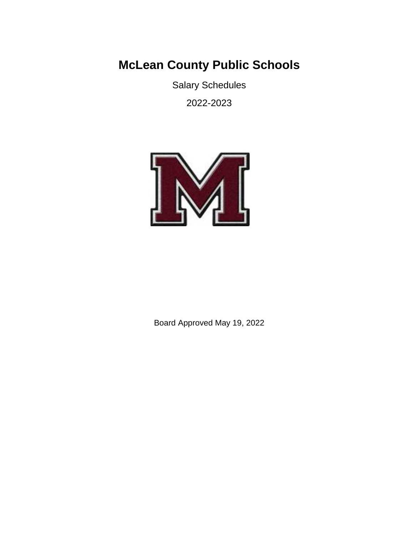Salary Schedules

2022-2023



Board Approved May 19, 2022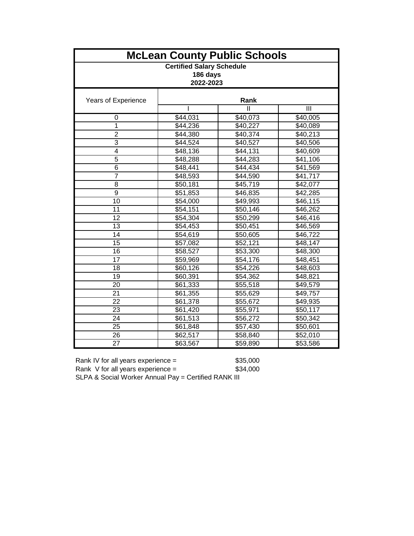| <b>McLean County Public Schools</b> |          |              |                         |  |  |  |  |
|-------------------------------------|----------|--------------|-------------------------|--|--|--|--|
| <b>Certified Salary Schedule</b>    |          |              |                         |  |  |  |  |
| 186 days<br>2022-2023               |          |              |                         |  |  |  |  |
|                                     |          |              |                         |  |  |  |  |
| Years of Experience<br>Rank         |          |              |                         |  |  |  |  |
|                                     |          | $\mathbf{I}$ | $\overline{\mathbb{H}}$ |  |  |  |  |
| 0                                   | \$44,031 | \$40,073     | \$40,005                |  |  |  |  |
| 1                                   | \$44,236 | \$40,227     | \$40,089                |  |  |  |  |
| $\overline{2}$                      | \$44,380 | \$40,374     | \$40,213                |  |  |  |  |
| 3                                   | \$44,524 | \$40,527     | \$40,506                |  |  |  |  |
| 4                                   | \$48,136 | \$44,131     | \$40,609                |  |  |  |  |
| $\overline{5}$                      | \$48,288 | \$44,283     | $\overline{41,}106$     |  |  |  |  |
| 6                                   | \$48,441 | \$44,434     | \$41,569                |  |  |  |  |
| $\overline{7}$                      | \$48,593 | \$44,590     | \$41,717                |  |  |  |  |
| 8                                   | \$50,181 | \$45,719     | \$42,077                |  |  |  |  |
| $\overline{9}$                      | \$51,853 | \$46,835     | \$42,285                |  |  |  |  |
| 10                                  | \$54,000 | \$49,993     | \$46,115                |  |  |  |  |
| 11                                  | \$54,151 | \$50,146     | \$46,262                |  |  |  |  |
| 12                                  | \$54,304 | \$50,299     | \$46,416                |  |  |  |  |
| 13                                  | \$54,453 | \$50,451     | \$46,569                |  |  |  |  |
| 14                                  | \$54,619 | \$50,605     | \$46,722                |  |  |  |  |
| 15                                  | \$57,082 | \$52,121     | \$48,147                |  |  |  |  |
| 16                                  | \$58,527 | \$53,300     | \$48,300                |  |  |  |  |
| 17                                  | \$59,969 | \$54,176     | \$48,451                |  |  |  |  |
| 18                                  | \$60,126 | \$54,226     | \$48,603                |  |  |  |  |
| 19                                  | \$60,391 | \$54,362     | \$48,821                |  |  |  |  |
| 20                                  | \$61,333 | \$55,518     | \$49,579                |  |  |  |  |
| 21                                  | \$61,355 | \$55,629     | \$49,757                |  |  |  |  |
| 22                                  | \$61,378 | \$55,672     | \$49,935                |  |  |  |  |
| 23                                  | \$61,420 | \$55,971     | \$50,117                |  |  |  |  |
| 24                                  | \$61,513 | \$56,272     | \$50,342                |  |  |  |  |
| 25                                  | \$61,848 | \$57,430     | \$50,601                |  |  |  |  |
| 26                                  | \$62,517 | \$58,840     | \$52,010                |  |  |  |  |
| $\overline{27}$                     | \$63,567 | \$59,890     | \$53,586                |  |  |  |  |

| Rank IV for all years experience $=$                 | \$35,000 |
|------------------------------------------------------|----------|
| Rank V for all years experience $=$                  | \$34,000 |
| SLPA & Social Worker Annual Pay = Certified RANK III |          |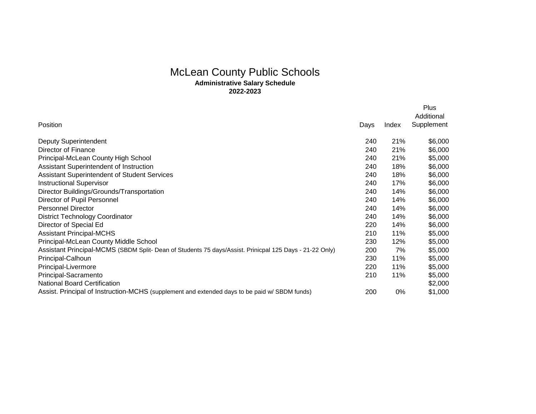## McLean County Public Schools **Administrative Salary Schedule**

**2022-2023**

|                                                                                                         |      |       | Plus<br>Additional |
|---------------------------------------------------------------------------------------------------------|------|-------|--------------------|
| Position                                                                                                | Days | Index | Supplement         |
| Deputy Superintendent                                                                                   | 240  | 21%   | \$6,000            |
| Director of Finance                                                                                     | 240  | 21%   | \$6,000            |
| Principal-McLean County High School                                                                     | 240  | 21%   | \$5,000            |
| Assistant Superintendent of Instruction                                                                 | 240  | 18%   | \$6,000            |
| Assistant Superintendent of Student Services                                                            | 240  | 18%   | \$6,000            |
| <b>Instructional Supervisor</b>                                                                         | 240  | 17%   | \$6,000            |
| Director Buildings/Grounds/Transportation                                                               | 240  | 14%   | \$6,000            |
| Director of Pupil Personnel                                                                             | 240  | 14%   | \$6,000            |
| <b>Personnel Director</b>                                                                               | 240  | 14%   | \$6,000            |
| <b>District Technology Coordinator</b>                                                                  | 240  | 14%   | \$6,000            |
| Director of Special Ed                                                                                  | 220  | 14%   | \$6,000            |
| <b>Assistant Principal-MCHS</b>                                                                         | 210  | 11%   | \$5,000            |
| Principal-McLean County Middle School                                                                   | 230  | 12%   | \$5,000            |
| Assistant Principal-MCMS (SBDM Split- Dean of Students 75 days/Assist. Prinicpal 125 Days - 21-22 Only) | 200  | 7%    | \$5,000            |
| Principal-Calhoun                                                                                       | 230  | 11%   | \$5,000            |
| Principal-Livermore                                                                                     | 220  | 11%   | \$5,000            |
| Principal-Sacramento                                                                                    | 210  | 11%   | \$5,000            |
| <b>National Board Certification</b>                                                                     |      |       | \$2,000            |
| Assist. Principal of Instruction-MCHS (supplement and extended days to be paid w/ SBDM funds)           | 200  | 0%    | \$1,000            |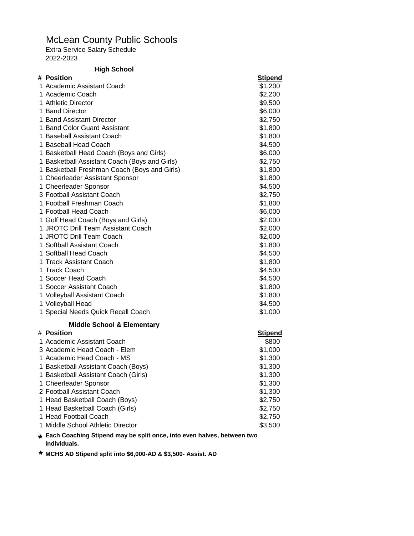Extra Service Salary Schedule 2022-2023

#### **High School**

| # Position                                    | <b>Stipend</b> |
|-----------------------------------------------|----------------|
| 1 Academic Assistant Coach                    | \$1,200        |
| 1 Academic Coach                              | \$2,200        |
| 1 Athletic Director                           | \$9,500        |
| 1 Band Director                               | \$6,000        |
| 1 Band Assistant Director                     | \$2,750        |
| 1 Band Color Guard Assistant                  | \$1,800        |
| 1 Baseball Assistant Coach                    | \$1,800        |
| 1 Baseball Head Coach                         | \$4,500        |
| 1 Basketball Head Coach (Boys and Girls)      | \$6,000        |
| 1 Basketball Assistant Coach (Boys and Girls) | \$2,750        |
| 1 Basketball Freshman Coach (Boys and Girls)  | \$1,800        |
| 1 Cheerleader Assistant Sponsor               | \$1,800        |
| 1 Cheerleader Sponsor                         | \$4,500        |
| 3 Football Assistant Coach                    | \$2,750        |
| 1 Football Freshman Coach                     | \$1,800        |
| 1 Football Head Coach                         | \$6,000        |
| 1 Golf Head Coach (Boys and Girls)            | \$2,000        |
| 1 JROTC Drill Team Assistant Coach            | \$2,000        |
| 1 JROTC Drill Team Coach                      | \$2,000        |
| 1 Softball Assistant Coach                    | \$1,800        |
| 1 Softball Head Coach                         | \$4,500        |
| 1 Track Assistant Coach                       | \$1,800        |
| 1 Track Coach                                 | \$4,500        |
| 1 Soccer Head Coach                           | \$4,500        |
| 1 Soccer Assistant Coach                      | \$1,800        |
| 1 Volleyball Assistant Coach                  | \$1,800        |
| 1 Volleyball Head                             | \$4,500        |
| 1 Special Needs Quick Recall Coach            | \$1,000        |
| <b>Middle School &amp; Elementary</b>         |                |
| # Position                                    | <b>Stipend</b> |
| 1 Academic Assistant Coach                    | \$800          |
| 3 Academic Head Coach - Elem                  | \$1,000        |
| 1 Academic Head Coach - MS                    | \$1,300        |
| 1 Basketball Assistant Coach (Boys)           | \$1,300        |
|                                               |                |

1 Basketball Assistant Coach (Girls) \$1,300 1 Cheerleader Sponsor 2 Football Assistant Coach \$1,300 1 Head Basketball Coach (Boys) \$2,750 1 Head Basketball Coach (Girls) \$2,750 1 Head Football Coach  $$2,750$ 1 Middle School Athletic Director \$3,500

**\* Each Coaching Stipend may be split once, into even halves, between two individuals.**

**\* MCHS AD Stipend split into \$6,000-AD & \$3,500- Assist. AD**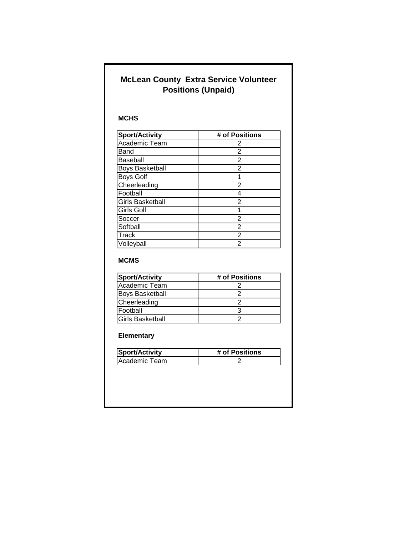# **McLean County Extra Service Volunteer Positions (Unpaid)**

## **MCHS**

| <b>Sport/Activity</b>   | # of Positions |
|-------------------------|----------------|
| Academic Team           | 2              |
| Band                    | 2              |
| Baseball                | 2              |
| <b>Boys Basketball</b>  | $\overline{2}$ |
| <b>Boys Golf</b>        |                |
| Cheerleading            | 2              |
| Football                | 4              |
| <b>Girls Basketball</b> | 2              |
| Girls Golf              |                |
| Soccer                  | 2              |
| Softball                | 2              |
| Track                   | 2              |
| Volleyball              | 2              |

## **MCMS**

| <b>Sport/Activity</b>  | # of Positions |
|------------------------|----------------|
| Academic Team          |                |
| <b>Boys Basketball</b> |                |
| Cheerleading           |                |
| Football               |                |
| lGirls Basketball      |                |

## **Elementary**

| <b>Sport/Activity</b> | # of Positions |
|-----------------------|----------------|
| Academic Team         |                |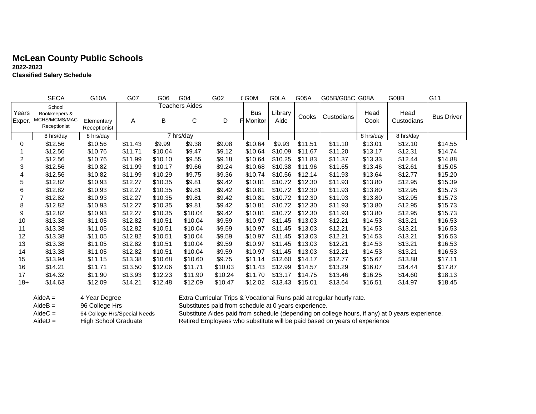**Classified Salary Schedule**

|                 | <b>SECA</b>                                              | G10A                       | G07     | G06     | G04                        | G02     | CG0M                           | <b>GOLA</b>     | G05A    | G05B/G05C G08A |              | G08B               | G11               |
|-----------------|----------------------------------------------------------|----------------------------|---------|---------|----------------------------|---------|--------------------------------|-----------------|---------|----------------|--------------|--------------------|-------------------|
| Years<br>Exper. | School<br>Bookkeepers &<br>MCHS/MCMS/MAC<br>Receptionist | Elementary<br>Receptionist | A       | B       | <b>Teachers Aides</b><br>C | D       | <b>Bus</b><br><b>F</b> Monitor | Library<br>Aide | Cooks   | Custodians     | Head<br>Cook | Head<br>Custodians | <b>Bus Driver</b> |
|                 | 8 hrs/day                                                | 8 hrs/dav                  |         |         | 7 hrs/day                  |         |                                |                 |         |                | 8 hrs/day    | 8 hrs/day          |                   |
| 0               | \$12.56                                                  | \$10.56                    | \$11.43 | \$9.99  | \$9.38                     | \$9.08  | \$10.64                        | \$9.93          | \$11.51 | \$11.10        | \$13.01      | \$12.10            | \$14.55           |
|                 | \$12.56                                                  | \$10.76                    | \$11.71 | \$10.04 | \$9.47                     | \$9.12  | \$10.64                        | \$10.09         | \$11.67 | \$11.20        | \$13.17      | \$12.31            | \$14.74           |
| $\overline{2}$  | \$12.56                                                  | \$10.76                    | \$11.99 | \$10.10 | \$9.55                     | \$9.18  | \$10.64                        | \$10.25         | \$11.83 | \$11.37        | \$13.33      | \$12.44            | \$14.88           |
| 3               | \$12.56                                                  | \$10.82                    | \$11.99 | \$10.17 | \$9.66                     | \$9.24  | \$10.68                        | \$10.38         | \$11.96 | \$11.65        | \$13.46      | \$12.61            | \$15.05           |
| 4               | \$12.56                                                  | \$10.82                    | \$11.99 | \$10.29 | \$9.75                     | \$9.36  | \$10.74                        | \$10.56         | \$12.14 | \$11.93        | \$13.64      | \$12.77            | \$15.20           |
| 5               | \$12.82                                                  | \$10.93                    | \$12.27 | \$10.35 | \$9.81                     | \$9.42  | \$10.81                        | \$10.72         | \$12.30 | \$11.93        | \$13.80      | \$12.95            | \$15.39           |
| 6               | \$12.82                                                  | \$10.93                    | \$12.27 | \$10.35 | \$9.81                     | \$9.42  | \$10.81                        | \$10.72         | \$12.30 | \$11.93        | \$13.80      | \$12.95            | \$15.73           |
|                 | \$12.82                                                  | \$10.93                    | \$12.27 | \$10.35 | \$9.81                     | \$9.42  | \$10.81                        | \$10.72         | \$12.30 | \$11.93        | \$13.80      | \$12.95            | \$15.73           |
| 8               | \$12.82                                                  | \$10.93                    | \$12.27 | \$10.35 | \$9.81                     | \$9.42  | \$10.81                        | \$10.72         | \$12.30 | \$11.93        | \$13.80      | \$12.95            | \$15.73           |
| 9               | \$12.82                                                  | \$10.93                    | \$12.27 | \$10.35 | \$10.04                    | \$9.42  | \$10.81                        | \$10.72         | \$12.30 | \$11.93        | \$13.80      | \$12.95            | \$15.73           |
| 10              | \$13.38                                                  | \$11.05                    | \$12.82 | \$10.51 | \$10.04                    | \$9.59  | \$10.97                        | \$11.45         | \$13.03 | \$12.21        | \$14.53      | \$13.21            | \$16.53           |
| 11              | \$13.38                                                  | \$11.05                    | \$12.82 | \$10.51 | \$10.04                    | \$9.59  | \$10.97                        | \$11.45         | \$13.03 | \$12.21        | \$14.53      | \$13.21            | \$16.53           |
| 12              | \$13.38                                                  | \$11.05                    | \$12.82 | \$10.51 | \$10.04                    | \$9.59  | \$10.97                        | \$11.45         | \$13.03 | \$12.21        | \$14.53      | \$13.21            | \$16.53           |
| 13              | \$13.38                                                  | \$11.05                    | \$12.82 | \$10.51 | \$10.04                    | \$9.59  | \$10.97                        | \$11.45         | \$13.03 | \$12.21        | \$14.53      | \$13.21            | \$16.53           |
| 14              | \$13.38                                                  | \$11.05                    | \$12.82 | \$10.51 | \$10.04                    | \$9.59  | \$10.97                        | \$11.45         | \$13.03 | \$12.21        | \$14.53      | \$13.21            | \$16.53           |
| 15              | \$13.94                                                  | \$11.15                    | \$13.38 | \$10.68 | \$10.60                    | \$9.75  | \$11.14                        | \$12.60         | \$14.17 | \$12.77        | \$15.67      | \$13.88            | \$17.11           |
| 16              | \$14.21                                                  | \$11.71                    | \$13.50 | \$12.06 | \$11.71                    | \$10.03 | \$11.43                        | \$12.99         | \$14.57 | \$13.29        | \$16.07      | \$14.44            | \$17.87           |
| 17              | \$14.32                                                  | \$11.90                    | \$13.93 | \$12.23 | \$11.90                    | \$10.24 | \$11.70                        | \$13.17         | \$14.75 | \$13.46        | \$16.25      | \$14.60            | \$18.13           |
| $18+$           | \$14.63                                                  | \$12.09                    | \$14.21 | \$12.48 | \$12.09                    | \$10.47 | \$12.02                        | \$13.43         | \$15.01 | \$13.64        | \$16.51      | \$14.97            | \$18.45           |

| $AideA =$ | 4 Year Degree               |
|-----------|-----------------------------|
| $AideB =$ | 96 College Hrs              |
| $AideC =$ | 64 College Hrs/Special Need |
| $AideD =$ | <b>High School Graduate</b> |

Extra Curricular Trips & Vocational Runs paid at regular hourly rate.

Substitutes paid from schedule at 0 years experience.

ds Substitute Aides paid from schedule (depending on college hours, if any) at 0 years experience.

Retired Employees who substitute will be paid based on years of experience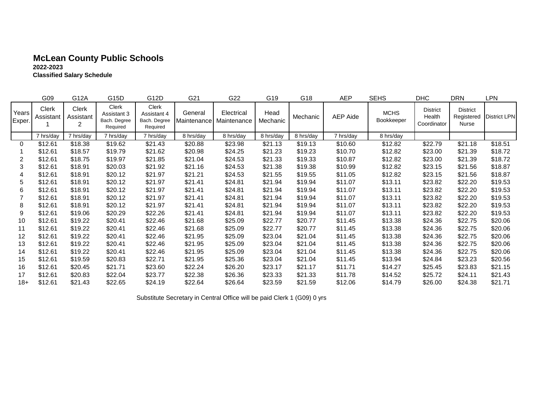**2022-2023 Classified Salary Schedule**

|                 | G09                | G12A                    | G15D                                             | G12D                                             | G21                     | G22                       | G19              | G18       | AEP       | <b>SEHS</b>               | <b>DHC</b>                               | <b>DRN</b>                                    | LPN                 |
|-----------------|--------------------|-------------------------|--------------------------------------------------|--------------------------------------------------|-------------------------|---------------------------|------------------|-----------|-----------|---------------------------|------------------------------------------|-----------------------------------------------|---------------------|
| Years<br>Exper. | Clerk<br>Assistant | Clerk<br>Assistant<br>2 | Clerk<br>Assistant 3<br>Bach. Degree<br>Required | Clerk<br>Assistant 4<br>Bach. Degree<br>Required | General<br>Maintenancel | Electrical<br>Maintenance | Head<br>Mechanic | Mechanic  | AEP Aide  | <b>MCHS</b><br>Bookkeeper | <b>District</b><br>Health<br>Coordinator | <b>District</b><br>Registered<br><b>Nurse</b> | <b>District LPN</b> |
|                 | 7 hrs/day          | 7 hrs/dav               | 7 hrs/day                                        | 7 hrs/day                                        | 8 hrs/day               | 8 hrs/day                 | 8 hrs/day        | 8 hrs/day | 7 hrs/day | 8 hrs/day                 |                                          |                                               |                     |
| 0               | \$12.61            | \$18.38                 | \$19.62                                          | \$21.43                                          | \$20.88                 | \$23.98                   | \$21.13          | \$19.13   | \$10.60   | \$12.82                   | \$22.79                                  | \$21.18                                       | \$18.51             |
|                 | \$12.61            | \$18.57                 | \$19.79                                          | \$21.62                                          | \$20.98                 | \$24.25                   | \$21.23          | \$19.23   | \$10.70   | \$12.82                   | \$23.00                                  | \$21.39                                       | \$18.72             |
| 2               | \$12.61            | \$18.75                 | \$19.97                                          | \$21.85                                          | \$21.04                 | \$24.53                   | \$21.33          | \$19.33   | \$10.87   | \$12.82                   | \$23.00                                  | \$21.39                                       | \$18.72             |
| 3               | \$12.61            | \$18.91                 | \$20.03                                          | \$21.92                                          | \$21.16                 | \$24.53                   | \$21.38          | \$19.38   | \$10.99   | \$12.82                   | \$23.15                                  | \$21.56                                       | \$18.87             |
| 4               | \$12.61            | \$18.91                 | \$20.12                                          | \$21.97                                          | \$21.21                 | \$24.53                   | \$21.55          | \$19.55   | \$11.05   | \$12.82                   | \$23.15                                  | \$21.56                                       | \$18.87             |
| 5               | \$12.61            | \$18.91                 | \$20.12                                          | \$21.97                                          | \$21.41                 | \$24.81                   | \$21.94          | \$19.94   | \$11.07   | \$13.11                   | \$23.82                                  | \$22.20                                       | \$19.53             |
| 6               | \$12.61            | \$18.91                 | \$20.12                                          | \$21.97                                          | \$21.41                 | \$24.81                   | \$21.94          | \$19.94   | \$11.07   | \$13.11                   | \$23.82                                  | \$22.20                                       | \$19.53             |
|                 | \$12.61            | \$18.91                 | \$20.12                                          | \$21.97                                          | \$21.41                 | \$24.81                   | \$21.94          | \$19.94   | \$11.07   | \$13.11                   | \$23.82                                  | \$22.20                                       | \$19.53             |
| 8               | \$12.61            | \$18.91                 | \$20.12                                          | \$21.97                                          | \$21.41                 | \$24.81                   | \$21.94          | \$19.94   | \$11.07   | \$13.11                   | \$23.82                                  | \$22.20                                       | \$19.53             |
| 9               | \$12.61            | \$19.06                 | \$20.29                                          | \$22.26                                          | \$21.41                 | \$24.81                   | \$21.94          | \$19.94   | \$11.07   | \$13.11                   | \$23.82                                  | \$22.20                                       | \$19.53             |
| 10              | \$12.61            | \$19.22                 | \$20.41                                          | \$22.46                                          | \$21.68                 | \$25.09                   | \$22.77          | \$20.77   | \$11.45   | \$13.38                   | \$24.36                                  | \$22.75                                       | \$20.06             |
| 11              | \$12.61            | \$19.22                 | \$20.41                                          | \$22.46                                          | \$21.68                 | \$25.09                   | \$22.77          | \$20.77   | \$11.45   | \$13.38                   | \$24.36                                  | \$22.75                                       | \$20.06             |
| 12              | \$12.61            | \$19.22                 | \$20.41                                          | \$22.46                                          | \$21.95                 | \$25.09                   | \$23.04          | \$21.04   | \$11.45   | \$13.38                   | \$24.36                                  | \$22.75                                       | \$20.06             |
| 13              | \$12.61            | \$19.22                 | \$20.41                                          | \$22.46                                          | \$21.95                 | \$25.09                   | \$23.04          | \$21.04   | \$11.45   | \$13.38                   | \$24.36                                  | \$22.75                                       | \$20.06             |
| 14              | \$12.61            | \$19.22                 | \$20.41                                          | \$22.46                                          | \$21.95                 | \$25.09                   | \$23.04          | \$21.04   | \$11.45   | \$13.38                   | \$24.36                                  | \$22.75                                       | \$20.06             |
| 15              | \$12.61            | \$19.59                 | \$20.83                                          | \$22.71                                          | \$21.95                 | \$25.36                   | \$23.04          | \$21.04   | \$11.45   | \$13.94                   | \$24.84                                  | \$23.23                                       | \$20.56             |
| 16              | \$12.61            | \$20.45                 | \$21.71                                          | \$23.60                                          | \$22.24                 | \$26.20                   | \$23.17          | \$21.17   | \$11.71   | \$14.27                   | \$25.45                                  | \$23.83                                       | \$21.15             |
| 17              | \$12.61            | \$20.83                 | \$22.04                                          | \$23.77                                          | \$22.38                 | \$26.36                   | \$23.33          | \$21.33   | \$11.78   | \$14.52                   | \$25.72                                  | \$24.11                                       | \$21.43             |
| $18+$           | \$12.61            | \$21.43                 | \$22.65                                          | \$24.19                                          | \$22.64                 | \$26.64                   | \$23.59          | \$21.59   | \$12.06   | \$14.79                   | \$26.00                                  | \$24.38                                       | \$21.71             |

Substitute Secretary in Central Office will be paid Clerk 1 (G09) 0 yrs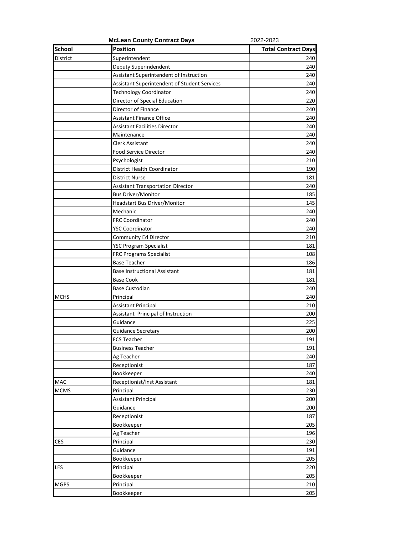|               | <b>McLean County Contract Days</b>                  | 2022-2023                  |
|---------------|-----------------------------------------------------|----------------------------|
| <b>School</b> | <b>Position</b>                                     | <b>Total Contract Days</b> |
| District      | Superintendent                                      | 240                        |
|               | Deputy Superindendent                               | 240                        |
|               | Assistant Superintendent of Instruction             | 240                        |
|               | <b>Assistant Superintendent of Student Services</b> | 240                        |
|               | <b>Technology Coordinator</b>                       | 240                        |
|               | Director of Special Education                       | 220                        |
|               | Director of Finance                                 | 240                        |
|               | <b>Assistant Finance Office</b>                     | 240                        |
|               | <b>Assistant Facilities Director</b>                | 240                        |
|               | Maintenance                                         | 240                        |
|               | Clerk Assistant                                     | 240                        |
|               | Food Service Director                               | 240                        |
|               | Psychologist                                        | 210                        |
|               | District Health Coordinator                         | 190                        |
|               | <b>District Nurse</b>                               | 181                        |
|               | <b>Assistant Transportation Director</b>            | 240                        |
|               | <b>Bus Driver/Monitor</b>                           | 185                        |
|               | Headstart Bus Driver/Monitor                        | 145                        |
|               | Mechanic                                            | 240                        |
|               | <b>FRC Coordinator</b>                              | 240                        |
|               | <b>YSC Coordinator</b>                              | 240                        |
|               | Community Ed Director                               | 210                        |
|               | YSC Program Specialist                              | 181                        |
|               | <b>FRC Programs Specialist</b>                      | 108                        |
|               | <b>Base Teacher</b>                                 | 186                        |
|               | <b>Base Instructional Assistant</b>                 | 181                        |
|               | <b>Base Cook</b>                                    | 181                        |
|               | <b>Base Custodian</b>                               | 240                        |
| <b>MCHS</b>   | Principal                                           | 240                        |
|               | <b>Assistant Principal</b>                          | 210                        |
|               | Assistant Principal of Instruction                  | 200                        |
|               | Guidance                                            | 225                        |
|               | <b>Guidance Secretary</b>                           | 200                        |
|               | <b>FCS Teacher</b>                                  | 191                        |
|               | <b>Business Teacher</b>                             | 191                        |
|               | Ag Teacher                                          | 240                        |
|               | Receptionist                                        | 187                        |
|               | Bookkeeper                                          | 240                        |
| MAC           | Receptionist/Inst Assistant                         | 181                        |
| <b>MCMS</b>   | Principal                                           | 230                        |
|               | <b>Assistant Principal</b>                          | 200                        |
|               | Guidance                                            | 200                        |
|               | Receptionist                                        | 187                        |
|               | Bookkeeper                                          | 205                        |
|               | Ag Teacher                                          | 196                        |
| CES           | Principal                                           | 230                        |
|               | Guidance                                            | 191                        |
|               | Bookkeeper                                          | 205                        |
| LES           | Principal                                           | 220                        |
|               | Bookkeeper                                          | 205                        |
| <b>MGPS</b>   | Principal                                           | 210                        |
|               | Bookkeeper                                          | 205                        |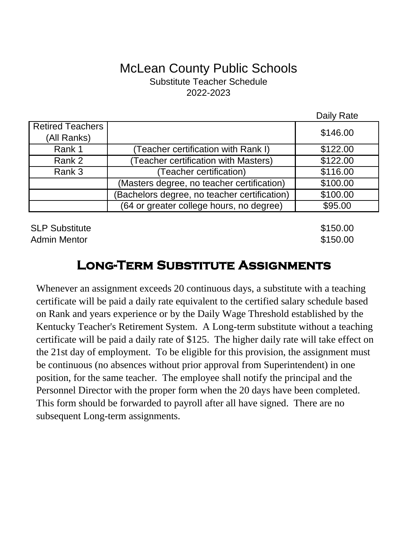# McLean County Public Schools Substitute Teacher Schedule 2022-2023

|                         |                                              | Daily Rate |
|-------------------------|----------------------------------------------|------------|
| <b>Retired Teachers</b> |                                              |            |
| (All Ranks)             |                                              | \$146.00   |
| Rank 1                  | (Teacher certification with Rank I)          | \$122.00   |
| Rank 2                  | (Teacher certification with Masters)         | \$122.00   |
| Rank 3                  | (Teacher certification)                      | \$116.00   |
|                         | (Masters degree, no teacher certification)   | \$100.00   |
|                         | (Bachelors degree, no teacher certification) | \$100.00   |
|                         | (64 or greater college hours, no degree)     | \$95.00    |
|                         |                                              |            |

SLP Substitute \$150.00 Admin Mentor \$150.00

# **Long-Term Substitute Assignments**

Whenever an assignment exceeds 20 continuous days, a substitute with a teaching certificate will be paid a daily rate equivalent to the certified salary schedule based on Rank and years experience or by the Daily Wage Threshold established by the Kentucky Teacher's Retirement System. A Long-term substitute without a teaching certificate will be paid a daily rate of \$125. The higher daily rate will take effect on the 21st day of employment. To be eligible for this provision, the assignment must be continuous (no absences without prior approval from Superintendent) in one position, for the same teacher. The employee shall notify the principal and the Personnel Director with the proper form when the 20 days have been completed. This form should be forwarded to payroll after all have signed. There are no subsequent Long-term assignments.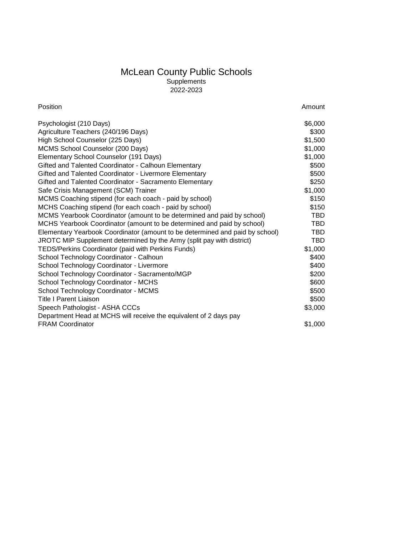## McLean County Public Schools 2022-2023 Supplements

| Position                                                                     | Amount     |
|------------------------------------------------------------------------------|------------|
| Psychologist (210 Days)                                                      | \$6,000    |
| Agriculture Teachers (240/196 Days)                                          | \$300      |
| High School Counselor (225 Days)                                             | \$1,500    |
| MCMS School Counselor (200 Days)                                             | \$1,000    |
| Elementary School Counselor (191 Days)                                       | \$1,000    |
| Gifted and Talented Coordinator - Calhoun Elementary                         | \$500      |
| Gifted and Talented Coordinator - Livermore Elementary                       | \$500      |
| Gifted and Talented Coordinator - Sacramento Elementary                      | \$250      |
| Safe Crisis Management (SCM) Trainer                                         | \$1,000    |
| MCMS Coaching stipend (for each coach - paid by school)                      | \$150      |
| MCHS Coaching stipend (for each coach - paid by school)                      | \$150      |
| MCMS Yearbook Coordinator (amount to be determined and paid by school)       | TBD.       |
| MCHS Yearbook Coordinator (amount to be determined and paid by school)       | TBD.       |
| Elementary Yearbook Coordinator (amount to be determined and paid by school) | <b>TBD</b> |
| JROTC MIP Supplement determined by the Army (split pay with district)        | <b>TBD</b> |
| TEDS/Perkins Coordinator (paid with Perkins Funds)                           | \$1,000    |
| School Technology Coordinator - Calhoun                                      | \$400      |
| School Technology Coordinator - Livermore                                    | \$400      |
| School Technology Coordinator - Sacramento/MGP                               | \$200      |
| School Technology Coordinator - MCHS                                         | \$600      |
| School Technology Coordinator - MCMS                                         | \$500      |
| <b>Title I Parent Liaison</b>                                                | \$500      |
| Speech Pathologist - ASHA CCCs                                               | \$3,000    |
| Department Head at MCHS will receive the equivalent of 2 days pay            |            |
| <b>FRAM Coordinator</b>                                                      | \$1,000    |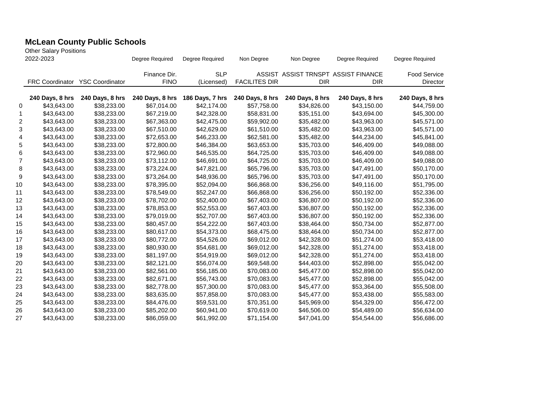|              | <b>Other Salary Positions</b><br>2022-2023 |                        | Degree Required | Degree Required | Non Degree           | Non Degree      | Degree Required                     | Degree Required     |
|--------------|--------------------------------------------|------------------------|-----------------|-----------------|----------------------|-----------------|-------------------------------------|---------------------|
|              |                                            |                        |                 |                 |                      |                 |                                     |                     |
|              |                                            |                        | Finance Dir.    | <b>SLP</b>      |                      |                 | ASSIST ASSIST TRNSPT ASSIST FINANCE | <b>Food Service</b> |
|              | <b>FRC Coordinator</b>                     | <b>YSC Coordinator</b> | <b>FINO</b>     | (Licensed)      | <b>FACILITES DIR</b> | <b>DIR</b>      | <b>DIR</b>                          | Director            |
|              | 240 Days, 8 hrs                            | 240 Days, 8 hrs        | 240 Days, 8 hrs | 186 Days, 7 hrs | 240 Days, 8 hrs      | 240 Days, 8 hrs | 240 Days, 8 hrs                     | 240 Days, 8 hrs     |
| 0            | \$43,643.00                                | \$38,233.00            | \$67,014.00     | \$42,174.00     | \$57,758.00          | \$34,826.00     | \$43,150.00                         | \$44,759.00         |
| $\mathbf{1}$ | \$43,643.00                                | \$38,233.00            | \$67,219.00     | \$42,328.00     | \$58,831.00          | \$35,151.00     | \$43,694.00                         | \$45,300.00         |
| 2            | \$43,643.00                                | \$38,233.00            | \$67,363.00     | \$42,475.00     | \$59,902.00          | \$35,482.00     | \$43,963.00                         | \$45,571.00         |
| 3            | \$43,643.00                                | \$38,233.00            | \$67,510.00     | \$42,629.00     | \$61,510.00          | \$35,482.00     | \$43,963.00                         | \$45,571.00         |
| 4            | \$43,643.00                                | \$38,233.00            | \$72,653.00     | \$46,233.00     | \$62,581.00          | \$35,482.00     | \$44,234.00                         | \$45,841.00         |
| 5            | \$43,643.00                                | \$38,233.00            | \$72,800.00     | \$46,384.00     | \$63,653.00          | \$35,703.00     | \$46,409.00                         | \$49,088.00         |
| 6            | \$43,643.00                                | \$38,233.00            | \$72,960.00     | \$46,535.00     | \$64,725.00          | \$35,703.00     | \$46,409.00                         | \$49,088.00         |
| 7            | \$43,643.00                                | \$38,233.00            | \$73,112.00     | \$46,691.00     | \$64,725.00          | \$35,703.00     | \$46,409.00                         | \$49,088.00         |
| 8            | \$43,643.00                                | \$38,233.00            | \$73,224.00     | \$47,821.00     | \$65,796.00          | \$35,703.00     | \$47,491.00                         | \$50,170.00         |
| 9            | \$43,643.00                                | \$38,233.00            | \$73,264.00     | \$48,936.00     | \$65,796.00          | \$35,703.00     | \$47,491.00                         | \$50,170.00         |
| 10           | \$43,643.00                                | \$38,233.00            | \$78,395.00     | \$52,094.00     | \$66,868.00          | \$36,256.00     | \$49,116.00                         | \$51,795.00         |
| 11           | \$43,643.00                                | \$38,233.00            | \$78,549.00     | \$52,247.00     | \$66,868.00          | \$36,256.00     | \$50,192.00                         | \$52,336.00         |
| 12           | \$43,643.00                                | \$38,233.00            | \$78,702.00     | \$52,400.00     | \$67,403.00          | \$36,807.00     | \$50,192.00                         | \$52,336.00         |
| 13           | \$43,643.00                                | \$38,233.00            | \$78,853.00     | \$52,553.00     | \$67,403.00          | \$36,807.00     | \$50,192.00                         | \$52,336.00         |
| 14           | \$43,643.00                                | \$38,233.00            | \$79,019.00     | \$52,707.00     | \$67,403.00          | \$36,807.00     | \$50,192.00                         | \$52,336.00         |
| 15           | \$43,643.00                                | \$38,233.00            | \$80,457.00     | \$54,222.00     | \$67,403.00          | \$38,464.00     | \$50,734.00                         | \$52,877.00         |
| 16           | \$43,643.00                                | \$38,233.00            | \$80,617.00     | \$54,373.00     | \$68,475.00          | \$38,464.00     | \$50,734.00                         | \$52,877.00         |
| 17           | \$43,643.00                                | \$38,233.00            | \$80,772.00     | \$54,526.00     | \$69,012.00          | \$42,328.00     | \$51,274.00                         | \$53,418.00         |
| 18           | \$43,643.00                                | \$38,233.00            | \$80,930.00     | \$54,681.00     | \$69,012.00          | \$42,328.00     | \$51,274.00                         | \$53,418.00         |
| 19           | \$43,643.00                                | \$38,233.00            | \$81,197.00     | \$54,919.00     | \$69,012.00          | \$42,328.00     | \$51,274.00                         | \$53,418.00         |
| 20           | \$43,643.00                                | \$38,233.00            | \$82,121.00     | \$56,074.00     | \$69,548.00          | \$44,403.00     | \$52,898.00                         | \$55,042.00         |
| 21           | \$43,643.00                                | \$38,233.00            | \$82,561.00     | \$56,185.00     | \$70,083.00          | \$45,477.00     | \$52,898.00                         | \$55,042.00         |
| 22           | \$43,643.00                                | \$38,233.00            | \$82,671.00     | \$56,743.00     | \$70,083.00          | \$45,477.00     | \$52,898.00                         | \$55,042.00         |
| 23           | \$43,643.00                                | \$38,233.00            | \$82,778.00     | \$57,300.00     | \$70,083.00          | \$45,477.00     | \$53,364.00                         | \$55,508.00         |
| 24           | \$43,643.00                                | \$38,233.00            | \$83,635.00     | \$57,858.00     | \$70,083.00          | \$45,477.00     | \$53,438.00                         | \$55,583.00         |
| 25           | \$43,643.00                                | \$38,233.00            | \$84,476.00     | \$59,531.00     | \$70,351.00          | \$45,969.00     | \$54,329.00                         | \$56,472.00         |
| 26           | \$43,643.00                                | \$38,233.00            | \$85,202.00     | \$60,941.00     | \$70,619.00          | \$46,506.00     | \$54,489.00                         | \$56,634.00         |
| 27           | \$43,643.00                                | \$38,233.00            | \$86,059.00     | \$61,992.00     | \$71,154.00          | \$47,041.00     | \$54,544.00                         | \$56,686.00         |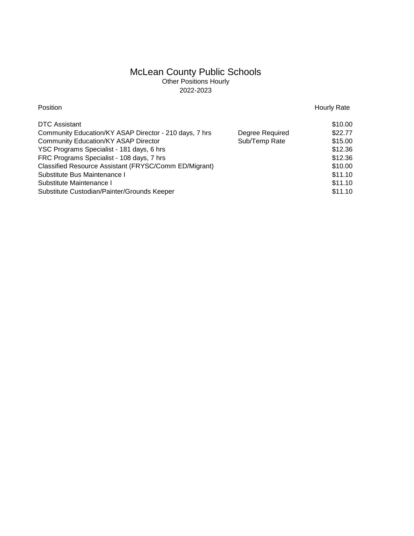## McLean County Public Schools Other Positions Hourly 2022-2023

Position **Hourly Rate** 

| <b>DTC Assistant</b>                                   |                 | \$10.00 |
|--------------------------------------------------------|-----------------|---------|
| Community Education/KY ASAP Director - 210 days, 7 hrs | Degree Required | \$22.77 |
| <b>Community Education/KY ASAP Director</b>            | Sub/Temp Rate   | \$15.00 |
| YSC Programs Specialist - 181 days, 6 hrs              |                 | \$12.36 |
| FRC Programs Specialist - 108 days, 7 hrs              |                 | \$12.36 |
| Classified Resource Assistant (FRYSC/Comm ED/Migrant)  |                 | \$10.00 |
| Substitute Bus Maintenance I                           |                 | \$11.10 |
| Substitute Maintenance I                               |                 | \$11.10 |
| Substitute Custodian/Painter/Grounds Keeper            |                 | \$11.10 |
|                                                        |                 |         |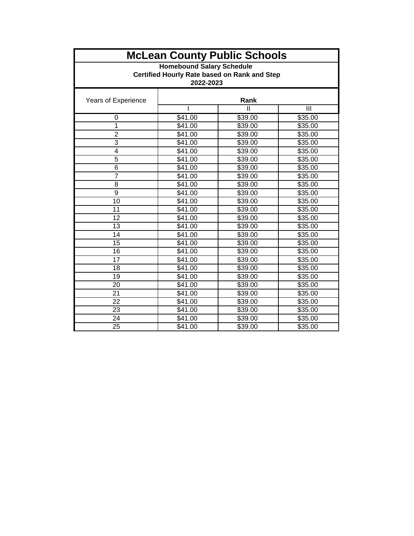| <b>McLean County Public Schools</b><br><b>Homebound Salary Schedule</b><br>Certified Hourly Rate based on Rank and Step<br>2022-2023 |         |                     |         |
|--------------------------------------------------------------------------------------------------------------------------------------|---------|---------------------|---------|
|                                                                                                                                      |         |                     |         |
|                                                                                                                                      |         | Ш                   | Ш       |
| 0                                                                                                                                    | \$41.00 | \$39.00             | \$35.00 |
| 1                                                                                                                                    | \$41.00 | \$39.00             | \$35.00 |
| $\overline{2}$                                                                                                                       | \$41.00 | \$39.00             | \$35.00 |
| 3                                                                                                                                    | \$41.00 | \$39.00             | \$35.00 |
| $\overline{4}$                                                                                                                       | \$41.00 | \$39.00             | \$35.00 |
| 5                                                                                                                                    | \$41.00 | \$39.00             | \$35.00 |
| 6                                                                                                                                    | \$41.00 | \$39.00             | \$35.00 |
| $\overline{7}$                                                                                                                       | \$41.00 | $\overline{$}39.00$ | \$35.00 |
| 8                                                                                                                                    | \$41.00 | \$39.00             | \$35.00 |
| $\overline{9}$                                                                                                                       | \$41.00 | \$39.00             | \$35.00 |
| 10                                                                                                                                   | \$41.00 | \$39.00             | \$35.00 |
| 11                                                                                                                                   | \$41.00 | \$39.00             | \$35.00 |
| 12                                                                                                                                   | \$41.00 | \$39.00             | \$35.00 |
| 13                                                                                                                                   | \$41.00 | \$39.00             | \$35.00 |
| 14                                                                                                                                   | \$41.00 | \$39.00             | \$35.00 |
| 15                                                                                                                                   | \$41.00 | \$39.00             | \$35.00 |
| 16                                                                                                                                   | \$41.00 | \$39.00             | \$35.00 |
| 17                                                                                                                                   | \$41.00 | \$39.00             | \$35.00 |
| 18                                                                                                                                   | \$41.00 | \$39.00             | \$35.00 |
| 19                                                                                                                                   | \$41.00 | \$39.00             | \$35.00 |
| 20                                                                                                                                   | \$41.00 | \$39.00             | \$35.00 |
| 21                                                                                                                                   | \$41.00 | \$39.00             | \$35.00 |
| 22                                                                                                                                   | \$41.00 | \$39.00             | \$35.00 |
| 23                                                                                                                                   | \$41.00 | \$39.00             | \$35.00 |
| 24                                                                                                                                   | \$41.00 | \$39.00             | \$35.00 |
| 25                                                                                                                                   | \$41.00 | \$39.00             | \$35.00 |